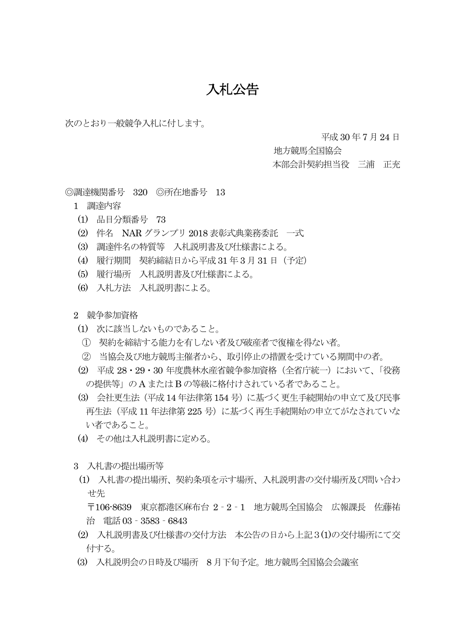## 入札公告

次のとおり一般競争入札に付します。

平成 30 年 7 月24 日

地方競馬全国協会

本部会計契約担当役 三浦 正充

◎調達機関番号 320 ◎所在地番号 13

- 1 調達内容
- (1) 品目分類番号 73
- (2) 件名 NAR グランプリ 2018 表彰式典業務委託 一式
- (3) 調達件名の特質等 入札説明書及び仕様書による。
- (4) 履行期間 契約締結日から平成31 年 3 月31 日(予定)
- (5) 履行場所 入札説明書及び仕様書による。
- (6) 入札方法 入札説明書による。
- 2 競争参加資格
	- (1) 次に該当しないものであること。
	- ① 契約を締結する能力を有しない者及び破産者で復権を得ない者。
	- ② 当協会及び地方競馬主催者から、取引停止の措置を受けている期間中の者。
	- (2) 平成 28・29・30 年度農林水産省競争参加資格(全省庁統一)において、「役務 の提供等」の A またはB の等級に格付けされている者であること。
	- (3) 会社更生法(平成14 年法律第154 号)に基づく更生手続開始の申立て及び民事 再生法(平成 11 年法律第 225 号)に基づく再生手続開始の申立てがなされていな い者であること。
- (4) その他は入札説明書に定める。
- 3 入札書の提出場所等
- (1) 入札書の提出場所、契約条項を示す場所、入札説明書の交付場所及び問い合わ せ先

 〒106-8639 東京都港区麻布台 2‐2‐1 地方競馬全国協会 広報課長 佐藤祐 治 電話 03 - 3583 - 6843

- (2) 入札説明書及び仕様書の交付方法 本公告の日から上記3(1)の交付場所にて交 付する。
- (3) 入札説明会の日時及び場所 8 月下旬予定。地方競馬全国協会会議室